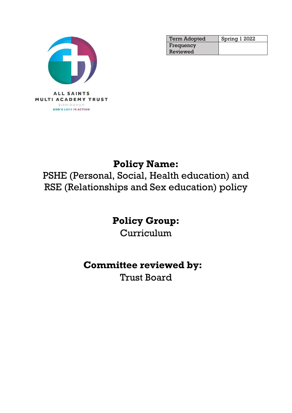

| <b>Term Adopted</b> | Spring 1 2022 |
|---------------------|---------------|
| Frequency           |               |
| Reviewed            |               |

# **Policy Name:**

PSHE (Personal, Social, Health education) and RSE (Relationships and Sex education) policy

# **Policy Group:**

Curriculum

# **Committee reviewed by:**

Trust Board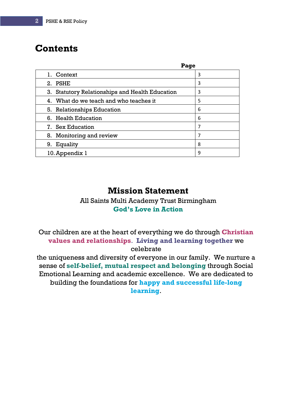# **Contents**

| Page                                                      |   |
|-----------------------------------------------------------|---|
| 1. Context                                                | 3 |
| PSHE<br>2.                                                | 3 |
| <b>Statutory Relationships and Health Education</b><br>3. | 3 |
| 4. What do we teach and who teaches it                    | 5 |
| 5. Relationships Education                                | 6 |
| 6. Health Education                                       | 6 |
| 7. Sex Education                                          | 7 |
| 8. Monitoring and review                                  | 7 |
| Equality<br>9.                                            | 8 |
| 10. Appendix 1                                            | 9 |

# **Mission Statement**

All Saints Multi Academy Trust Birmingham **God's Love in Action**

Our children are at the heart of everything we do through **Christian values and relationships**. **Living and learning together** we celebrate

the uniqueness and diversity of everyone in our family. We nurture a sense of **self-belief, mutual respect and belonging** through Social Emotional Learning and academic excellence. We are dedicated to building the foundations for **happy and successful life-long learning**.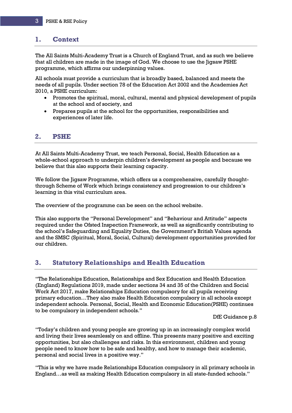#### **1. Context**

The All Saints Multi-Academy Trust is a Church of England Trust, and as such we believe that all children are made in the image of God. We choose to use the Jigsaw PSHE programme, which affirms our underpinning values.

All schools must provide a curriculum that is broadly based, balanced and meets the needs of all pupils. Under section 78 of the Education Act 2002 and the Academies Act 2010, a PSHE curriculum:

- Promotes the spiritual, moral, cultural, mental and physical development of pupils at the school and of society, and
- Prepares pupils at the school for the opportunities, responsibilities and experiences of later life.

### **2. PSHE**

At All Saints Multi-Academy Trust, we teach Personal, Social, Health Education as a whole-school approach to underpin children's development as people and because we believe that this also supports their learning capacity.

We follow the Jigsaw Programme, which offers us a comprehensive, carefully thoughtthrough Scheme of Work which brings consistency and progression to our children's learning in this vital curriculum area.

The overview of the programme can be seen on the school website.

This also supports the "Personal Development" and "Behaviour and Attitude" aspects required under the Ofsted Inspection Framework, as well as significantly contributing to the school's Safeguarding and Equality Duties, the Government's British Values agenda and the SMSC (Spiritual, Moral, Social, Cultural) development opportunities provided for our children.

## **3. Statutory Relationships and Health Education**

"The Relationships Education, Relationships and Sex Education and Health Education (England) Regulations 2019, made under sections 34 and 35 of the Children and Social Work Act 2017, make Relationships Education compulsory for all pupils receiving primary education…They also make Health Education compulsory in all schools except independent schools. Personal, Social, Health and Economic Education(PSHE) continues to be compulsory in independent schools."

#### DfE Guidance p.8

"Today's children and young people are growing up in an increasingly complex world and living their lives seamlessly on and offline. This presents many positive and exciting opportunities, but also challenges and risks. In this environment, children and young people need to know how to be safe and healthy, and how to manage their academic, personal and social lives in a positive way."

"This is why we have made Relationships Education compulsory in all primary schools in England…as well as making Health Education compulsory in all state-funded schools."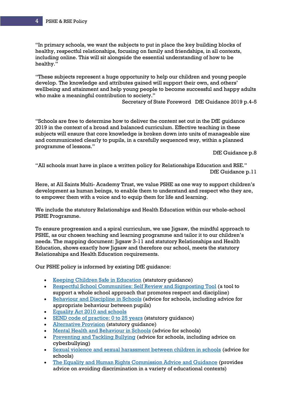"In primary schools, we want the subjects to put in place the key building blocks of healthy, respectful relationships, focusing on family and friendships, in all contexts, including online. This will sit alongside the essential understanding of how to be healthy."

"These subjects represent a huge opportunity to help our children and young people develop. The knowledge and attributes gained will support their own, and others' wellbeing and attainment and help young people to become successful and happy adults who make a meaningful contribution to society."

Secretary of State Foreword DfE Guidance 2019 p.4-5

"Schools are free to determine how to deliver the content set out in the DfE guidance 2019 in the context of a broad and balanced curriculum. Effective teaching in these subjects will ensure that core knowledge is broken down into units of manageable size and communicated clearly to pupils, in a carefully sequenced way, within a planned programme of lessons."

DfE Guidance p.8

"All schools must have in place a written policy for Relationships Education and RSE." DfE Guidance p.11

Here, at All Saints Multi- Academy Trust, we value PSHE as one way to support children's development as human beings, to enable them to understand and respect who they are, to empower them with a voice and to equip them for life and learning.

We include the statutory Relationships and Health Education within our whole-school PSHE Programme.

To ensure progression and a spiral curriculum, we use Jigsaw, the mindful approach to PSHE, as our chosen teaching and learning programme and tailor it to our children's needs. The mapping document: Jigsaw 3-11 and statutory Relationships and Health Education, shows exactly how Jigsaw and therefore our school, meets the statutory Relationships and Health Education requirements.

Our PSHE policy is informed by existing DfE guidance:

- [Keeping Children Safe in Education](https://assets.publishing.service.gov.uk/government/uploads/system/uploads/attachment_data/file/1021914/KCSIE_2021_September_guidance.pdf) (statutory guidance)
- [Respectful School Communities: Self Review and Signposting Tool](https://educateagainsthate.com/resources/respectful-school-communities-self-review-signposting-tool-2/) (a tool to support a whole school approach that promotes respect and discipline)
- [Behaviour and Discipline in Schools](https://www.gov.uk/government/publications/behaviour-and-discipline-in-schools) (advice for schools, including advice for appropriate behaviour between pupils)
- [Equality Act 2010 and schools](https://www.gov.uk/government/publications/equality-act-2010-advice-for-schools)
- [SEND code of practice: 0 to 25 years](https://www.gov.uk/government/publications/send-code-of-practice-0-to-25) (statutory guidance)
- [Alternative Provision](https://www.gov.uk/government/publications/alternative-provision) (statutory guidance)
- [Mental Health and Behaviour in Schools](https://www.gov.uk/government/publications/mental-health-and-behaviour-in-schools--2) (advice for schools)
- [Preventing and Tackling Bullying](https://www.gov.uk/government/publications/preventing-and-tackling-bullying) (advice for schools, including advice on cyberbullying)
- [Sexual violence and sexual harassment between children in schools](https://www.gov.uk/government/publications/sexual-violence-and-sexual-harassment-between-children-in-schools-and-colleges) (advice for schools)
- [The Equality and Human Rights Commission Advice and Guidance](https://www.gov.uk/government/organisations/equality-and-human-rights-commission) (provides advice on avoiding discrimination in a variety of educational contexts)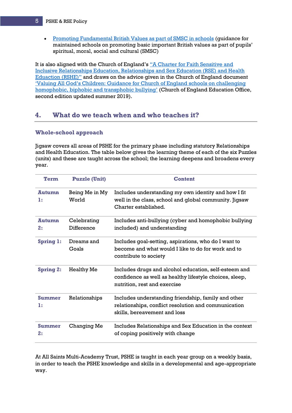#### 5 PSHE & RSE Policy

• [Promoting Fundamental British Values as part of SMSC in schools](https://assets.publishing.service.gov.uk/government/uploads/system/uploads/attachment_data/file/380595/SMSC_Guidance_Maintained_Schools.pdf#:~:text=Schools%20should%20promote%20the%20fundamental%20British%20values%20of,Education%20Act%202002%2C%20in%20their%20provision%20of%20SMSC.) (guidance for maintained schools on promoting basic important British values as part of pupils' spiritual, moral, social and cultural (SMSC)

It is also aligned with the Church of England's ["A Charter for Faith Sensitive and](https://www.churchofengland.org/sites/default/files/2019-11/RSHE%20Principles%20and%20Charter_0.pdf)  [Inclusive Relationships Education, Relationships and Sex Education \(RSE\) and Health](https://www.churchofengland.org/sites/default/files/2019-11/RSHE%20Principles%20and%20Charter_0.pdf) [Eduaction](https://www.churchofengland.org/sites/default/files/2019-11/RSHE%20Principles%20and%20Charter_0.pdf) (RSHE)" and draws on the advice given in the Church of England document ['Valuing All God's Children: Guidance for Church of England](https://www.churchofengland.org/sites/default/files/2019-07/Valuing%20All%20God%27s%20Children%20July%202019_0.pdf) schools on challenging [homophobic, biphobic and transphobic bullying'](https://www.churchofengland.org/sites/default/files/2019-07/Valuing%20All%20God%27s%20Children%20July%202019_0.pdf) (Church of England Education Office, second edition updated summer 2019).

### **4. What do we teach when and who teaches it?**

#### **Whole-school approach**

Jigsaw covers all areas of PSHE for the primary phase including statutory Relationships and Health Education. The table below gives the learning theme of each of the six Puzzles (units) and these are taught across the school; the learning deepens and broadens every year.

| Term                | <b>Puzzle (Unit)</b>      | <b>Content</b>                                                                                                                                   |
|---------------------|---------------------------|--------------------------------------------------------------------------------------------------------------------------------------------------|
| <b>Autumn</b><br>1: | Being Me in My<br>World   | Includes understanding my own identity and how I fit<br>well in the class, school and global community. Jigsaw<br>Charter established.           |
| <b>Autumn</b><br>2: | Celebrating<br>Difference | Includes anti-bullying (cyber and homophobic bullying<br>included) and understanding                                                             |
| <b>Spring 1:</b>    | Dreams and<br>Goals       | Includes goal-setting, aspirations, who do I want to<br>become and what would I like to do for work and to<br>contribute to society              |
| <b>Spring 2:</b>    | <b>Healthy Me</b>         | Includes drugs and alcohol education, self-esteem and<br>confidence as well as healthy lifestyle choices, sleep,<br>nutrition, rest and exercise |
| Summer<br>1:        | Relationships             | Includes understanding friendship, family and other<br>relationships, conflict resolution and communication<br>skills, bereavement and loss      |
| Summer<br>2:        | Changing Me               | Includes Relationships and Sex Education in the context<br>of coping positively with change                                                      |

At All Saints Multi-Academy Trust, PSHE is taught in each year group on a weekly basis, in order to teach the PSHE knowledge and skills in a developmental and age-appropriate way.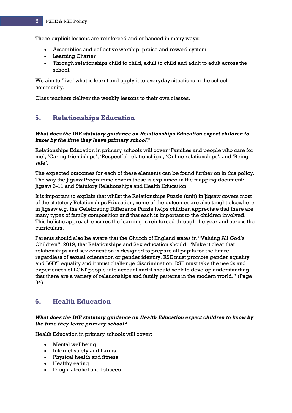These explicit lessons are reinforced and enhanced in many ways:

- Assemblies and collective worship, praise and reward system
- Learning Charter
- Through relationships child to child, adult to child and adult to adult across the school.

We aim to 'live' what is learnt and apply it to everyday situations in the school community.

Class teachers deliver the weekly lessons to their own classes.

# **5. Relationships Education**

#### *What does the DfE statutory guidance on Relationships Education expect children to know by the time they leave primary school?*

Relationships Education in primary schools will cover 'Families and people who care for me', 'Caring friendships', 'Respectful relationships', 'Online relationships', and 'Being safe'.

The expected outcomes for each of these elements can be found further on in this policy. The way the Jigsaw Programme covers these is explained in the mapping document: Jigsaw 3-11 and Statutory Relationships and Health Education.

It is important to explain that whilst the Relationships Puzzle (unit) in Jigsaw covers most of the statutory Relationships Education, some of the outcomes are also taught elsewhere in Jigsaw e.g. the Celebrating Difference Puzzle helps children appreciate that there are many types of family composition and that each is important to the children involved. This holistic approach ensures the learning is reinforced through the year and across the curriculum.

Parents should also be aware that the Church of England states in "Valuing All God's Children", 2019, that Relationships and Sex education should: "Make it clear that relationships and sex education is designed to prepare all pupils for the future, regardless of sexual orientation or gender identity. RSE must promote gender equality and LGBT equality and it must challenge discrimination. RSE must take the needs and experiences of LGBT people into account and it should seek to develop understanding that there are a variety of relationships and family patterns in the modern world." (Page 34)

## **6. Health Education**

#### *What does the DfE statutory guidance on Health Education expect children to know by the time they leave primary school?*

Health Education in primary schools will cover:

- Mental wellbeing
- Internet safety and harms
- Physical health and fitness
- Healthy eating
- Drugs, alcohol and tobacco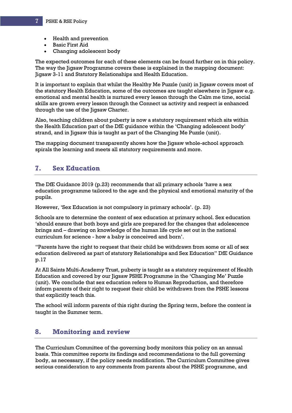- Health and prevention
- Basic First Aid
- Changing adolescent body

The expected outcomes for each of these elements can be found further on in this policy. The way the Jigsaw Programme covers these is explained in the mapping document: Jigsaw 3-11 and Statutory Relationships and Health Education.

It is important to explain that whilst the Healthy Me Puzzle (unit) in Jigsaw covers most of the statutory Health Education, some of the outcomes are taught elsewhere in Jigsaw e.g. emotional and mental health is nurtured every lesson through the Calm me time, social skills are grown every lesson through the Connect us activity and respect is enhanced through the use of the Jigsaw Charter.

Also, teaching children about puberty is now a statutory requirement which sits within the Health Education part of the DfE guidance within the 'Changing adolescent body' strand, and in Jigsaw this is taught as part of the Changing Me Puzzle (unit).

The mapping document transparently shows how the Jigsaw whole-school approach spirals the learning and meets all statutory requirements and more.

#### **7. Sex Education**

The DfE Guidance 2019 (p.23) recommends that all primary schools 'have a sex education programme tailored to the age and the physical and emotional maturity of the pupils.

However, 'Sex Education is not compulsory in primary schools'. (p. 23)

Schools are to determine the content of sex education at primary school. Sex education 'should ensure that both boys and girls are prepared for the changes that adolescence brings and – drawing on knowledge of the human life cycle set out in the national curriculum for science - how a baby is conceived and born'.

"Parents have the right to request that their child be withdrawn from some or all of sex education delivered as part of statutory Relationships and Sex Education" DfE Guidance p.17

At All Saints Multi-Academy Trust, puberty is taught as a statutory requirement of Health Education and covered by our Jigsaw PSHE Programme in the 'Changing Me' Puzzle (unit). We conclude that sex education refers to Human Reproduction, and therefore inform parents of their right to request their child be withdrawn from the PSHE lessons that explicitly teach this.

The school will inform parents of this right during the Spring term, before the content is taught in the Summer term.

## **8. Monitoring and review**

The Curriculum Committee of the governing body monitors this policy on an annual basis. This committee reports its findings and recommendations to the full governing body, as necessary, if the policy needs modification. The Curriculum Committee gives serious consideration to any comments from parents about the PSHE programme, and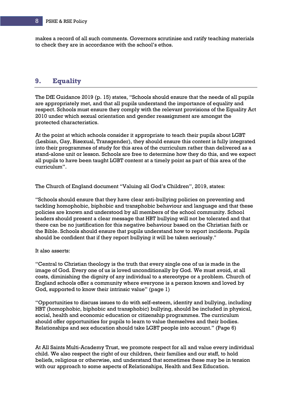makes a record of all such comments. Governors scrutinise and ratify teaching materials to check they are in accordance with the school's ethos.

# **9. Equality**

The DfE Guidance 2019 (p. 15) states, "Schools should ensure that the needs of all pupils are appropriately met, and that all pupils understand the importance of equality and respect. Schools must ensure they comply with the relevant provisions of the Equality Act 2010 under which sexual orientation and gender reassignment are amongst the protected characteristics.

At the point at which schools consider it appropriate to teach their pupils about LGBT (Lesbian, Gay, Bisexual, Transgender), they should ensure this content is fully integrated into their programmes of study for this area of the curriculum rather than delivered as a stand-alone unit or lesson. Schools are free to determine how they do this, and we expect all pupils to have been taught LGBT content at a timely point as part of this area of the curriculum".

The Church of England document "Valuing all God's Children", 2019, states:

"Schools should ensure that they have clear anti-bullying policies on preventing and tackling homophobic, biphobic and transphobic behaviour and language and that these policies are known and understood by all members of the school community. School leaders should present a clear message that HBT bullying will not be tolerated and that there can be no justification for this negative behaviour based on the Christian faith or the Bible. Schools should ensure that pupils understand how to report incidents. Pupils should be confident that if they report bullying it will be taken seriously."

#### It also asserts:

"Central to Christian theology is the truth that every single one of us is made in the image of God. Every one of us is loved unconditionally by God. We must avoid, at all costs, diminishing the dignity of any individual to a stereotype or a problem. Church of England schools offer a community where everyone is a person known and loved by God, supported to know their intrinsic value" (page 1)

"Opportunities to discuss issues to do with self-esteem, identity and bullying, including HBT (homophobic, biphobic and transphobic) bullying, should be included in physical, social, health and economic education or citizenship programmes. The curriculum should offer opportunities for pupils to learn to value themselves and their bodies. Relationships and sex education should take LGBT people into account." (Page 6)

At All Saints Multi-Academy Trust, we promote respect for all and value every individual child. We also respect the right of our children, their families and our staff, to hold beliefs, religious or otherwise, and understand that sometimes these may be in tension with our approach to some aspects of Relationships, Health and Sex Education.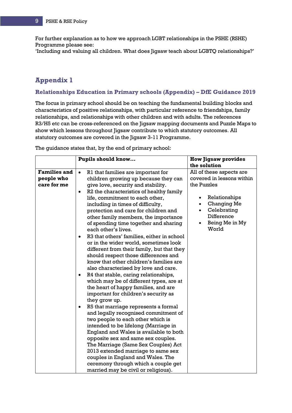For further explanation as to how we approach LGBT relationships in the PSHE (RSHE) Programme please see:

'Including and valuing all children. What does Jigsaw teach about LGBTQ relationships?'

# **Appendix 1**

#### **Relationships Education in Primary schools (Appendix) – DfE Guidance 2019**

The focus in primary school should be on teaching the fundamental building blocks and characteristics of positive relationships, with particular reference to friendships, family relationships, and relationships with other children and with adults. The references R3/H5 etc can be cross-referenced on the Jigsaw mapping documents and Puzzle Maps to show which lessons throughout Jigsaw contribute to which statutory outcomes. All statutory outcomes are covered in the Jigsaw 3-11 Programme.

The guidance states that, by the end of primary school:

|                     | Pupils should know                                                                                                                                                                                                                                                                                                                                                                                                                                                                                                                                                                                                                                                                                                                                                                                                                                                                                                                                                                                                                                                                                                                                                                                                                              | <b>How Jigsaw provides</b>                                                                  |
|---------------------|-------------------------------------------------------------------------------------------------------------------------------------------------------------------------------------------------------------------------------------------------------------------------------------------------------------------------------------------------------------------------------------------------------------------------------------------------------------------------------------------------------------------------------------------------------------------------------------------------------------------------------------------------------------------------------------------------------------------------------------------------------------------------------------------------------------------------------------------------------------------------------------------------------------------------------------------------------------------------------------------------------------------------------------------------------------------------------------------------------------------------------------------------------------------------------------------------------------------------------------------------|---------------------------------------------------------------------------------------------|
|                     |                                                                                                                                                                                                                                                                                                                                                                                                                                                                                                                                                                                                                                                                                                                                                                                                                                                                                                                                                                                                                                                                                                                                                                                                                                                 | the solution                                                                                |
| <b>Families and</b> | R1 that families are important for<br>$\bullet$                                                                                                                                                                                                                                                                                                                                                                                                                                                                                                                                                                                                                                                                                                                                                                                                                                                                                                                                                                                                                                                                                                                                                                                                 | All of these aspects are                                                                    |
| people who          | children growing up because they can                                                                                                                                                                                                                                                                                                                                                                                                                                                                                                                                                                                                                                                                                                                                                                                                                                                                                                                                                                                                                                                                                                                                                                                                            | covered in lessons within                                                                   |
| care for me         |                                                                                                                                                                                                                                                                                                                                                                                                                                                                                                                                                                                                                                                                                                                                                                                                                                                                                                                                                                                                                                                                                                                                                                                                                                                 | the Puzzles                                                                                 |
|                     | give love, security and stability.<br>R2 the characteristics of healthy family<br>$\bullet$<br>life, commitment to each other,<br>including in times of difficulty,<br>protection and care for children and<br>other family members, the importance<br>of spending time together and sharing<br>each other's lives.<br>R3 that others' families, either in school<br>$\bullet$<br>or in the wider world, sometimes look<br>different from their family, but that they<br>should respect those differences and<br>know that other children's families are<br>also characterised by love and care.<br>R4 that stable, caring relationships,<br>which may be of different types, are at<br>the heart of happy families, and are<br>important for children's security as<br>they grow up.<br>R5 that marriage represents a formal<br>$\bullet$<br>and legally recognised commitment of<br>two people to each other which is<br>intended to be lifelong (Marriage in<br>England and Wales is available to both<br>opposite sex and same sex couples.<br>The Marriage (Same Sex Couples) Act<br>2013 extended marriage to same sex<br>couples in England and Wales. The<br>ceremony through which a couple get<br>married may be civil or religious). | Relationships<br><b>Changing Me</b><br>Celebrating<br>Difference<br>Being Me in My<br>World |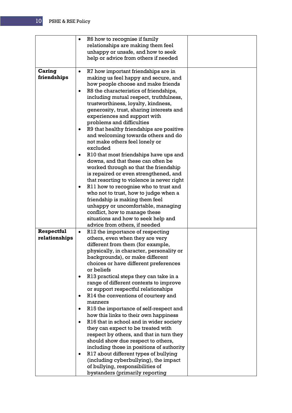|                              | R6 how to recognise if family<br>relationships are making them feel<br>unhappy or unsafe, and how to seek<br>help or advice from others if needed                                                                                                                                                                                                                                                                                                                                                                                                                                                                                                                                                                                                                                                                                                                                                                                                                 |  |
|------------------------------|-------------------------------------------------------------------------------------------------------------------------------------------------------------------------------------------------------------------------------------------------------------------------------------------------------------------------------------------------------------------------------------------------------------------------------------------------------------------------------------------------------------------------------------------------------------------------------------------------------------------------------------------------------------------------------------------------------------------------------------------------------------------------------------------------------------------------------------------------------------------------------------------------------------------------------------------------------------------|--|
| <b>Caring</b><br>friendships | R7 how important friendships are in<br>$\bullet$<br>making us feel happy and secure, and<br>how people choose and make friends<br>R8 the characteristics of friendships,<br>including mutual respect, truthfulness,<br>trustworthiness, loyalty, kindness,<br>generosity, trust, sharing interests and<br>experiences and support with<br>problems and difficulties<br>R9 that healthy friendships are positive<br>and welcoming towards others and do<br>not make others feel lonely or<br>excluded<br>R <sub>10</sub> that most friendships have ups and<br>downs, and that these can often be<br>worked through so that the friendship<br>is repaired or even strengthened, and<br>that resorting to violence is never right<br>R11 how to recognise who to trust and<br>who not to trust, how to judge when a<br>friendship is making them feel<br>unhappy or uncomfortable, managing<br>conflict, how to manage these<br>situations and how to seek help and |  |
| Respectful<br>relationships  | advice from others, if needed<br>R12 the importance of respecting<br>others, even when they are very<br>different from them (for example,<br>physically, in character, personality or<br>backgrounds), or make different<br>choices or have different preferences<br>or beliefs<br>R13 practical steps they can take in a<br>range of different contexts to improve<br>or support respectful relationships<br>R14 the conventions of courtesy and<br>manners<br>R15 the importance of self-respect and<br>how this links to their own happiness<br>R <sub>16</sub> that in school and in wider society<br>they can expect to be treated with<br>respect by others, and that in turn they<br>should show due respect to others,<br>including those in positions of authority<br>R17 about different types of bullying                                                                                                                                              |  |
|                              | (including cyberbullying), the impact<br>of bullying, responsibilities of<br>bystanders (primarily reporting                                                                                                                                                                                                                                                                                                                                                                                                                                                                                                                                                                                                                                                                                                                                                                                                                                                      |  |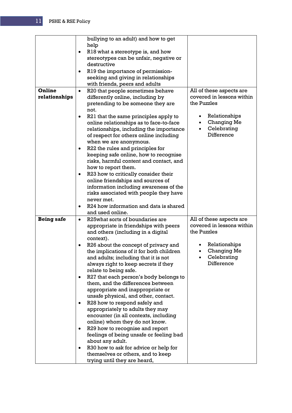| Online<br>relationships | bullying to an adult) and how to get<br>help<br>R18 what a stereotype is, and how<br>٠<br>stereotypes can be unfair, negative or<br>destructive<br>R19 the importance of permission-<br>$\bullet$<br>seeking and giving in relationships<br>with friends, peers and adults<br>R20 that people sometimes behave<br>$\bullet$<br>differently online, including by<br>pretending to be someone they are<br>not.<br>R21 that the same principles apply to<br>online relationships as to face-to-face<br>relationships, including the importance<br>of respect for others online including<br>when we are anonymous.<br>R22 the rules and principles for<br>$\bullet$<br>keeping safe online, how to recognise<br>risks, harmful content and contact, and<br>how to report them.<br>R23 how to critically consider their<br>online friendships and sources of<br>information including awareness of the<br>risks associated with people they have<br>never met.<br>R24 how information and data is shared<br>and used online. | All of these aspects are<br>covered in lessons within<br>the Puzzles<br>Relationships<br><b>Changing Me</b><br>Celebrating<br>Difference |
|-------------------------|--------------------------------------------------------------------------------------------------------------------------------------------------------------------------------------------------------------------------------------------------------------------------------------------------------------------------------------------------------------------------------------------------------------------------------------------------------------------------------------------------------------------------------------------------------------------------------------------------------------------------------------------------------------------------------------------------------------------------------------------------------------------------------------------------------------------------------------------------------------------------------------------------------------------------------------------------------------------------------------------------------------------------|------------------------------------------------------------------------------------------------------------------------------------------|
| <b>Being safe</b>       | R25what sorts of boundaries are<br>$\bullet$                                                                                                                                                                                                                                                                                                                                                                                                                                                                                                                                                                                                                                                                                                                                                                                                                                                                                                                                                                             | All of these aspects are<br>covered in lessons within                                                                                    |
|                         | appropriate in friendships with peers<br>and others (including in a digital<br>context).<br>R26 about the concept of privacy and<br>the implications of it for both children<br>and adults; including that it is not<br>always right to keep secrets if they<br>relate to being safe.<br>R27 that each person's body belongs to<br>them, and the differences between<br>appropriate and inappropriate or<br>unsafe physical, and other, contact.<br>R28 how to respond safely and<br>٠<br>appropriately to adults they may<br>encounter (in all contexts, including<br>online) whom they do not know.<br>R29 how to recognise and report<br>٠<br>feelings of being unsafe or feeling bad<br>about any adult.<br>R30 how to ask for advice or help for<br>themselves or others, and to keep<br>trying until they are heard,                                                                                                                                                                                               | the Puzzles<br>Relationships<br>Changing Me<br>Celebrating<br>Difference                                                                 |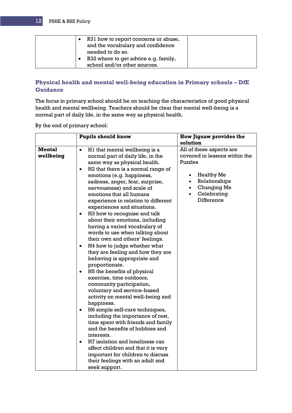| R31 how to report concerns or abuse,<br>and the vocabulary and confidence<br>needed to do so.<br>R32 where to get advice e.g. family, |
|---------------------------------------------------------------------------------------------------------------------------------------|
| school and/or other sources.                                                                                                          |

#### **Physical health and mental well-being education in Primary schools – DfE Guidance**

The focus in primary school should be on teaching the characteristics of good physical health and mental wellbeing. Teachers should be clear that mental well-being is a normal part of daily life, in the same way as physical health.

By the end of primary school: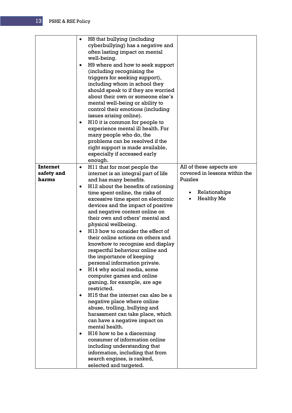|                               | $\bullet$<br>٠ | H8 that bullying (including<br>cyberbullying) has a negative and<br>often lasting impact on mental<br>well-being.<br>H9 where and how to seek support<br>(including recognising the<br>triggers for seeking support),<br>including whom in school they<br>should speak to if they are worried<br>about their own or someone else's<br>mental well-being or ability to<br>control their emotions (including<br>issues arising online).<br>H <sub>10</sub> it is common for people to<br>experience mental ill health. For<br>many people who do, the<br>problems can be resolved if the<br>right support is made available,<br>especially if accessed early<br>enough.                                                                                                                                                                                                                                                                    |                                                           |
|-------------------------------|----------------|------------------------------------------------------------------------------------------------------------------------------------------------------------------------------------------------------------------------------------------------------------------------------------------------------------------------------------------------------------------------------------------------------------------------------------------------------------------------------------------------------------------------------------------------------------------------------------------------------------------------------------------------------------------------------------------------------------------------------------------------------------------------------------------------------------------------------------------------------------------------------------------------------------------------------------------|-----------------------------------------------------------|
| <b>Internet</b><br>safety and | ٠              | H <sub>11</sub> that for most people the<br>internet is an integral part of life                                                                                                                                                                                                                                                                                                                                                                                                                                                                                                                                                                                                                                                                                                                                                                                                                                                         | All of these aspects are<br>covered in lessons within the |
| harms                         | ٠              | and has many benefits.<br>H <sub>12</sub> about the benefits of rationing                                                                                                                                                                                                                                                                                                                                                                                                                                                                                                                                                                                                                                                                                                                                                                                                                                                                | Puzzles                                                   |
|                               | $\bullet$      | time spent online, the risks of<br>excessive time spent on electronic<br>devices and the impact of positive<br>and negative content online on<br>their own and others' mental and<br>physical wellbeing.<br>H13 how to consider the effect of<br>their online actions on others and<br>knowhow to recognise and display<br>respectful behaviour online and<br>the importance of keeping<br>personal information private.<br>H14 why social media, some<br>computer games and online<br>gaming, for example, are age<br>restricted.<br>H15 that the internet can also be a<br>negative place where online<br>abuse, trolling, bullying and<br>harassment can take place, which<br>can have a negative impact on<br>mental health.<br>H <sub>16</sub> how to be a discerning<br>consumer of information online<br>including understanding that<br>information, including that from<br>search engines, is ranked,<br>selected and targeted. | Relationships<br><b>Healthy Me</b>                        |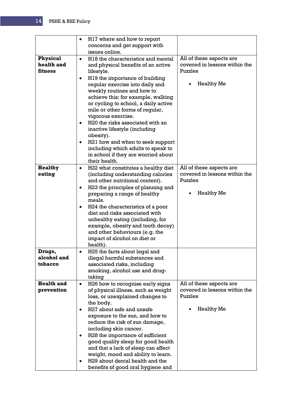|                               | H <sub>17</sub> where and how to report<br>٠<br>concerns and get support with                     |                                                           |
|-------------------------------|---------------------------------------------------------------------------------------------------|-----------------------------------------------------------|
|                               | issues online.                                                                                    |                                                           |
| <b>Physical</b><br>health and | H <sub>18</sub> the characteristics and mental<br>$\bullet$<br>and physical benefits of an active | All of these aspects are<br>covered in lessons within the |
| fitness                       | lifestyle.                                                                                        | Puzzles                                                   |
|                               | H19 the importance of building<br>٠                                                               |                                                           |
|                               | regular exercise into daily and                                                                   | <b>Healthy Me</b>                                         |
|                               | weekly routines and how to<br>achieve this; for example, walking                                  |                                                           |
|                               | or cycling to school, a daily active                                                              |                                                           |
|                               | mile or other forms of regular,                                                                   |                                                           |
|                               | vigorous exercise.                                                                                |                                                           |
|                               | H <sub>20</sub> the risks associated with an                                                      |                                                           |
|                               | inactive lifestyle (including                                                                     |                                                           |
|                               | obesity).                                                                                         |                                                           |
|                               | H21 how and when to seek support<br>٠                                                             |                                                           |
|                               | including which adults to speak to                                                                |                                                           |
|                               | in school if they are worried about                                                               |                                                           |
|                               | their health.                                                                                     |                                                           |
| <b>Healthy</b>                | H22 what constitutes a healthy diet<br>$\bullet$                                                  | All of these aspects are                                  |
| eating                        | (including understanding calories                                                                 | covered in lessons within the                             |
|                               | and other nutritional content).                                                                   | Puzzles                                                   |
|                               | H23 the principles of planning and<br>٠                                                           | <b>Healthy Me</b>                                         |
|                               | preparing a range of healthy<br>meals.                                                            |                                                           |
|                               | H <sub>24</sub> the characteristics of a poor<br>٠                                                |                                                           |
|                               | diet and risks associated with                                                                    |                                                           |
|                               | unhealthy eating (including, for                                                                  |                                                           |
|                               | example, obesity and tooth decay)                                                                 |                                                           |
|                               | and other behaviours (e.g. the                                                                    |                                                           |
|                               | impact of alcohol on diet or                                                                      |                                                           |
|                               | health).                                                                                          |                                                           |
| Drugs,                        | H25 the facts about legal and                                                                     |                                                           |
| alcohol and<br>tobacco        | illegal harmful substances and                                                                    |                                                           |
|                               | associated risks, including<br>smoking, alcohol use and drug-                                     |                                                           |
|                               | taking                                                                                            |                                                           |
| <b>Health and</b>             | H26 how to recognise early signs<br>٠                                                             | All of these aspects are                                  |
| prevention                    | of physical illness, such as weight                                                               | covered in lessons within the                             |
|                               | loss, or unexplained changes to                                                                   | Puzzles                                                   |
|                               | the body.                                                                                         |                                                           |
|                               | H27 about safe and unsafe<br>٠                                                                    | <b>Healthy Me</b>                                         |
|                               | exposure to the sun, and how to                                                                   |                                                           |
|                               | reduce the risk of sun damage,                                                                    |                                                           |
|                               | including skin cancer.                                                                            |                                                           |
|                               | H28 the importance of sufficient                                                                  |                                                           |
|                               | good quality sleep for good health                                                                |                                                           |
|                               | and that a lack of sleep can affect                                                               |                                                           |
|                               | weight, mood and ability to learn.<br>H29 about dental health and the                             |                                                           |
|                               | benefits of good oral hygiene and                                                                 |                                                           |